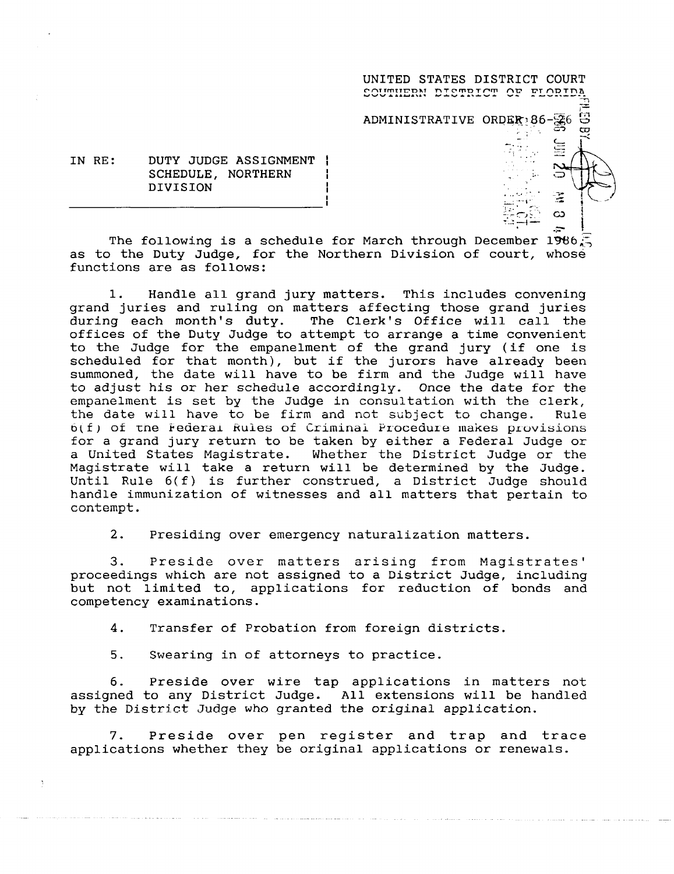UNITED STATES DISTRICT COURT **SOUTHERN DISTRICT OF FLORIDA** ADMINISTRATIVE ORDER<sub>186</sub>-96-96

> $\infty$ ÷.

IN RE: DUTY JUDGE ASSIGNMENT ! SCHEDULE, NORTHERN DIVISION

The following is a schedule for March through December 1986 $\mathcal{F}_2$ as to the Duty Judge, for the Northern Division of court, whose functions are as follows:

1. Handle all grand jury matters. This includes convening grand juries and ruling on matters affecting those grand juries during each month's duty. The Clerk's Office will call the offices of the Duty Judge to attempt to arrange a time convenient to the Judge for the empanelment of the grand jury (if one is scheduled for that month), but if the jurors have already beer summoned, the date will have to be firm and the Judge will have to adjust his or her schedule accordingly. Once the date for the empanelment is set by the Judge in consultation with the clerk, the date will have to be firm and not subject to change. Rule  $6(f)$  of the Federal Rules of Criminal Procedure makes provisions for a grand jury return to be taken by either a Federal Judge or a United States Magistrate. Whether the District Judge or the Magistrate will take a return will be determined by the Judge. Until Rule 6(f) is further construed, a District Judge should handle immunization of witnesses and all matters that pertain to contempt .

2. Presiding over emergency naturalization matters.

<sup>3</sup> . Preside over matters arising from Magistrates' proceedings which are not assigned to a District Judge, including but not limited to, applications for reduction of bonds and competency examinations .

4. Transfer of Probation from foreign districts.

5. Swearing in of attorneys to practice.

**<sup>6</sup> . Preside over wire tap applications in matters not assigned to any District Judge** . **All extensions will be handled** by the District Judge **who granted the original application .**

7. Preside over pen register and trap and trace applications whether they be original applications or renewals .